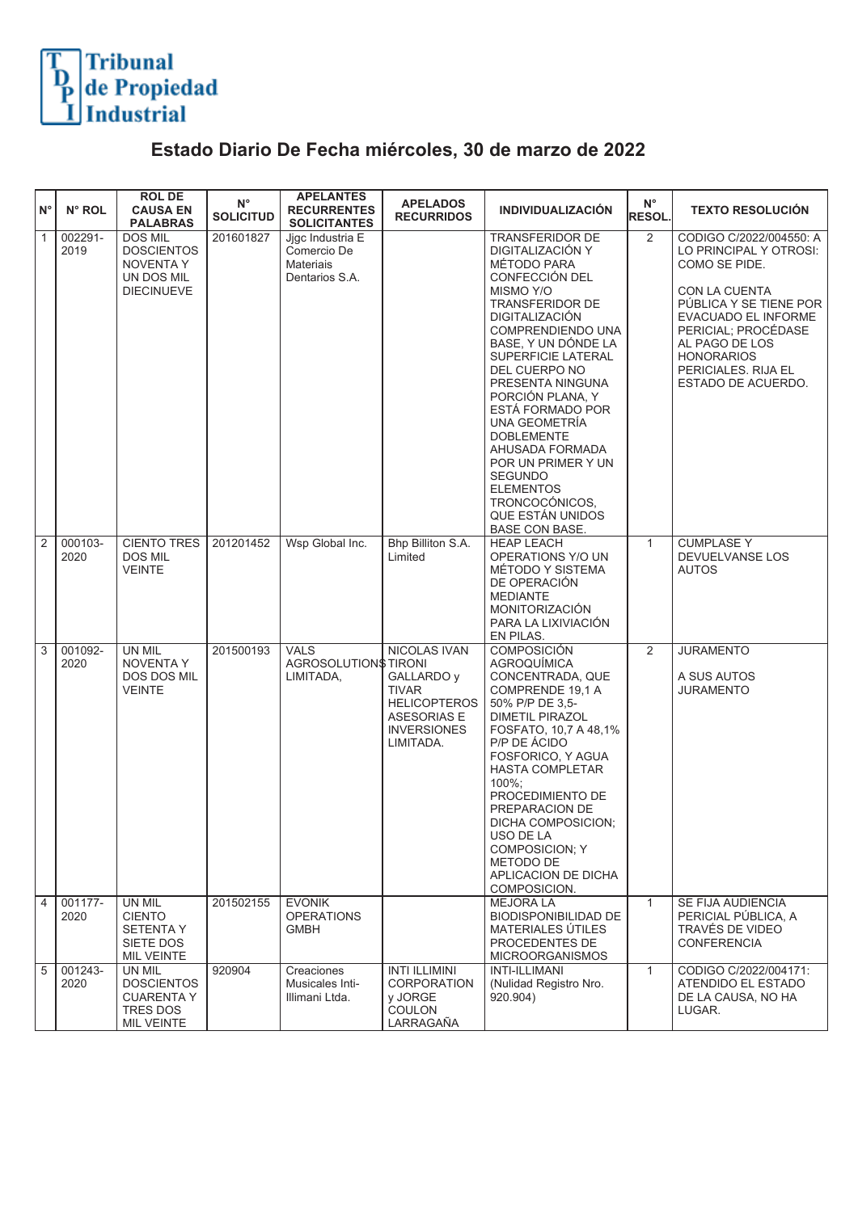## Tribunal<br>de Propiedad<br>Industrial

## **Estado Diario De Fecha miércoles, 30 de marzo de 2022**

| ١N°            | N° ROL          | <b>ROL DE</b><br><b>CAUSA EN</b><br><b>PALABRAS</b>                                        | $N^{\circ}$<br><b>SOLICITUD</b> | <b>APELANTES</b><br><b>RECURRENTES</b><br><b>SOLICITANTES</b>         | <b>APELADOS</b><br><b>RECURRIDOS</b>                                                                                       | <b>INDIVIDUALIZACIÓN</b>                                                                                                                                                                                                                                                                                                                                                                                                                                         | $\mathsf{N}^\circ$<br><b>RESOL.</b> | <b>TEXTO RESOLUCIÓN</b>                                                                                                                                                                                                                         |
|----------------|-----------------|--------------------------------------------------------------------------------------------|---------------------------------|-----------------------------------------------------------------------|----------------------------------------------------------------------------------------------------------------------------|------------------------------------------------------------------------------------------------------------------------------------------------------------------------------------------------------------------------------------------------------------------------------------------------------------------------------------------------------------------------------------------------------------------------------------------------------------------|-------------------------------------|-------------------------------------------------------------------------------------------------------------------------------------------------------------------------------------------------------------------------------------------------|
| $\boxed{1}$    | 002291-<br>2019 | <b>DOS MIL</b><br><b>DOSCIENTOS</b><br><b>NOVENTA Y</b><br>UN DOS MIL<br><b>DIECINUEVE</b> | 201601827                       | Jigc Industria E<br>Comercio De<br><b>Materiais</b><br>Dentarios S.A. |                                                                                                                            | TRANSFERIDOR DE<br>DIGITALIZACIÓN Y<br>MÉTODO PARA<br>CONFECCIÓN DEL<br>MISMO Y/O<br><b>TRANSFERIDOR DE</b><br>DIGITALIZACIÓN<br>COMPRENDIENDO UNA<br>BASE, Y UN DÓNDE LA<br>SUPERFICIE LATERAL<br>DEL CUERPO NO<br>PRESENTA NINGUNA<br>PORCIÓN PLANA, Y<br>ESTÁ FORMADO POR<br>UNA GEOMETRÍA<br><b>DOBLEMENTE</b><br>AHUSADA FORMADA<br>POR UN PRIMER Y UN<br><b>SEGUNDO</b><br><b>ELEMENTOS</b><br>TRONCOCÓNICOS.<br>QUE ESTÁN UNIDOS<br><b>BASE CON BASE.</b> | 2                                   | CODIGO C/2022/004550: A<br>LO PRINCIPAL Y OTROSI:<br>COMO SE PIDE.<br>CON LA CUENTA<br>PÚBLICA Y SE TIENE POR<br>EVACUADO EL INFORME<br>PERICIAL; PROCÉDASE<br>AL PAGO DE LOS<br><b>HONORARIOS</b><br>PERICIALES, RIJA EL<br>ESTADO DE ACUERDO. |
| $\overline{2}$ | 000103-<br>2020 | <b>CIENTO TRES</b><br><b>DOS MIL</b><br><b>VEINTE</b>                                      | 201201452                       | Wsp Global Inc.                                                       | Bhp Billiton S.A.<br>Limited                                                                                               | <b>HEAP LEACH</b><br>OPERATIONS Y/O UN<br>MÉTODO Y SISTEMA<br>DE OPERACIÓN<br><b>MEDIANTE</b><br><b>MONITORIZACIÓN</b><br>PARA LA LIXIVIACIÓN<br>EN PILAS.                                                                                                                                                                                                                                                                                                       | $\mathbf{1}$                        | <b>CUMPLASE Y</b><br>DEVUELVANSE LOS<br><b>AUTOS</b>                                                                                                                                                                                            |
| $\sqrt{3}$     | 001092-<br>2020 | UN MIL<br><b>NOVENTA Y</b><br>DOS DOS MIL<br><b>VEINTE</b>                                 | 201500193                       | <b>VALS</b><br>AGROSOLUTION\$TIRONI<br>LIMITADA,                      | NICOLAS IVAN<br>GALLARDO y<br><b>TIVAR</b><br><b>HELICOPTEROS</b><br><b>ASESORIAS E</b><br><b>INVERSIONES</b><br>LIMITADA. | <b>COMPOSICIÓN</b><br><b>AGROQUIMICA</b><br>CONCENTRADA, QUE<br>COMPRENDE 19.1 A<br>50% P/P DE 3,5-<br><b>DIMETIL PIRAZOL</b><br>FOSFATO, 10,7 A 48,1%<br>P/P DE ÁCIDO<br>FOSFORICO, Y AGUA<br><b>HASTA COMPLETAR</b><br>100%;<br>PROCEDIMIENTO DE<br>PREPARACION DE<br>DICHA COMPOSICION:<br>USO DE LA<br><b>COMPOSICION: Y</b><br>METODO DE<br>APLICACION DE DICHA<br>COMPOSICION.                                                                             | 2                                   | <b>JURAMENTO</b><br>A SUS AUTOS<br><b>JURAMENTO</b>                                                                                                                                                                                             |
| $\overline{4}$ | 001177-<br>2020 | UN MIL<br><b>CIENTO</b><br><b>SETENTA Y</b><br>SIETE DOS<br>MIL VEINTE                     | 201502155                       | <b>EVONIK</b><br><b>OPERATIONS</b><br><b>GMBH</b>                     |                                                                                                                            | <b>MEJORA LA</b><br><b>BIODISPONIBILIDAD DE</b><br>MATERIALES ÚTILES<br>PROCEDENTES DE<br><b>MICROORGANISMOS</b>                                                                                                                                                                                                                                                                                                                                                 | $\mathbf{1}$                        | SE FIJA AUDIENCIA<br>PERICIAL PÚBLICA, A<br>TRAVÉS DE VIDEO<br><b>CONFERENCIA</b>                                                                                                                                                               |
| $\sqrt{5}$     | 001243-<br>2020 | UN MIL<br><b>DOSCIENTOS</b><br><b>CUARENTA Y</b><br>TRES DOS<br>MIL VEINTE                 | 920904                          | Creaciones<br>Musicales Inti-<br>Illimani Ltda.                       | <b>INTI ILLIMINI</b><br>CORPORATION<br>y JORGE<br>COULON<br>LARRAGAÑA                                                      | <b>INTI-ILLIMANI</b><br>(Nulidad Registro Nro.<br>920.904)                                                                                                                                                                                                                                                                                                                                                                                                       | $\mathbf{1}$                        | CODIGO C/2022/004171:<br>ATENDIDO EL ESTADO<br>DE LA CAUSA, NO HA<br>LUGAR.                                                                                                                                                                     |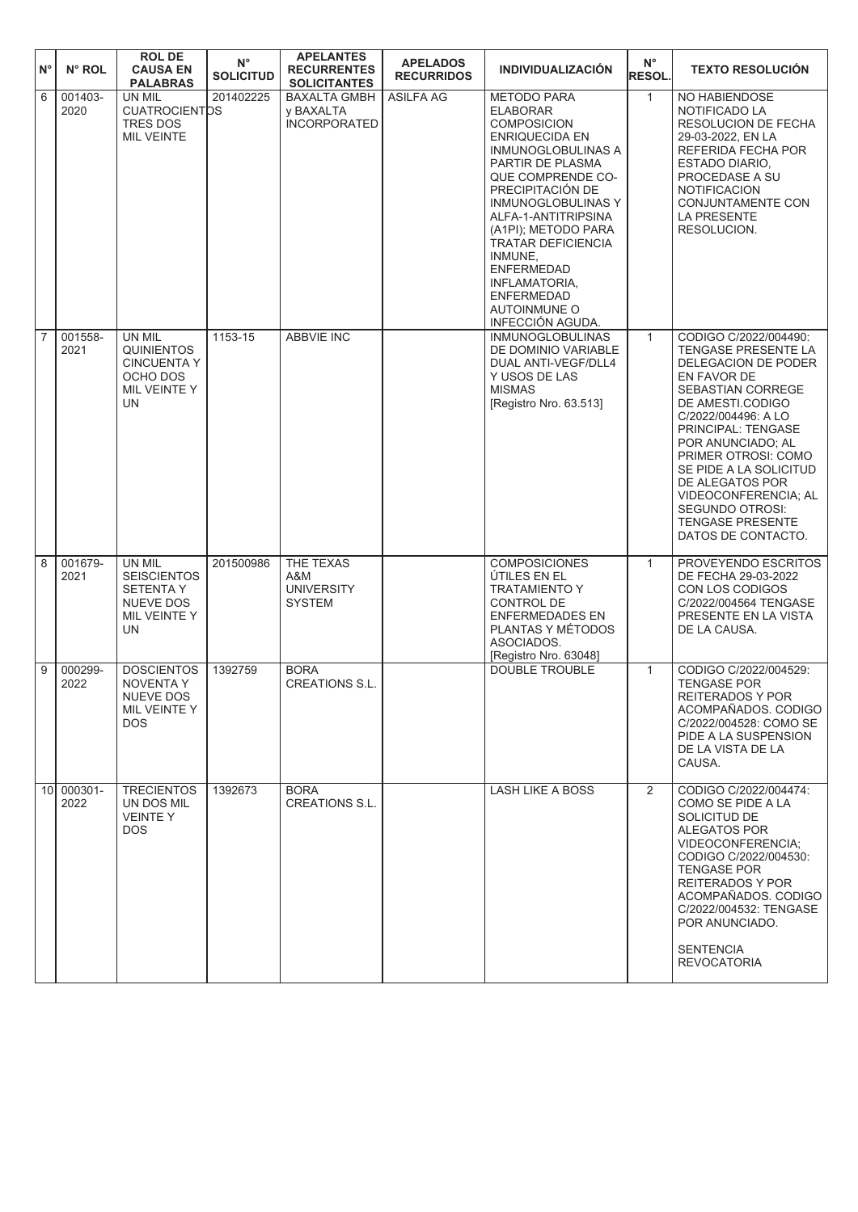| $\mathsf{N}^\circ$ | N° ROL             | <b>ROL DE</b><br><b>CAUSA EN</b><br><b>PALABRAS</b>                                              | $N^{\circ}$<br><b>SOLICITUD</b> | <b>APELANTES</b><br><b>RECURRENTES</b><br><b>SOLICITANTES</b> | <b>APELADOS</b><br><b>RECURRIDOS</b> | <b>INDIVIDUALIZACIÓN</b>                                                                                                                                                                                                                                                                                                                                                                  | $N^{\circ}$<br><b>RESOL.</b> | <b>TEXTO RESOLUCIÓN</b>                                                                                                                                                                                                                                                                                                                                                            |
|--------------------|--------------------|--------------------------------------------------------------------------------------------------|---------------------------------|---------------------------------------------------------------|--------------------------------------|-------------------------------------------------------------------------------------------------------------------------------------------------------------------------------------------------------------------------------------------------------------------------------------------------------------------------------------------------------------------------------------------|------------------------------|------------------------------------------------------------------------------------------------------------------------------------------------------------------------------------------------------------------------------------------------------------------------------------------------------------------------------------------------------------------------------------|
| 6                  | 001403-<br>2020    | UN MIL<br><b>CUATROCIENTOS</b><br><b>TRES DOS</b><br><b>MIL VEINTE</b>                           | 201402225                       | <b>BAXALTA GMBH</b><br>y BAXALTA<br><b>INCORPORATED</b>       | <b>ASILFA AG</b>                     | <b>METODO PARA</b><br><b>ELABORAR</b><br><b>COMPOSICION</b><br><b>ENRIQUECIDA EN</b><br>INMUNOGLOBULINAS A<br>PARTIR DE PLASMA<br>QUE COMPRENDE CO-<br>PRECIPITACIÓN DE<br><b>INMUNOGLOBULINAS Y</b><br>ALFA-1-ANTITRIPSINA<br>(A1PI); METODO PARA<br>TRATAR DEFICIENCIA<br>INMUNE,<br><b>ENFERMEDAD</b><br>INFLAMATORIA,<br><b>ENFERMEDAD</b><br><b>AUTOINMUNE O</b><br>INFECCIÓN AGUDA. | $\mathbf{1}$                 | NO HABIENDOSE<br>NOTIFICADO LA<br>RESOLUCION DE FECHA<br>29-03-2022, EN LA<br>REFERIDA FECHA POR<br>ESTADO DIARIO.<br>PROCEDASE A SU<br><b>NOTIFICACION</b><br>CONJUNTAMENTE CON<br><b>LA PRESENTE</b><br>RESOLUCION.                                                                                                                                                              |
| $\overline{7}$     | 001558-<br>2021    | UN MIL<br><b>QUINIENTOS</b><br><b>CINCUENTA Y</b><br>OCHO DOS<br>MIL VEINTE Y<br>UN              | 1153-15                         | <b>ABBVIE INC</b>                                             |                                      | <b>INMUNOGLOBULINAS</b><br>DE DOMINIO VARIABLE<br>DUAL ANTI-VEGF/DLL4<br>Y USOS DE LAS<br><b>MISMAS</b><br>[Registro Nro. 63.513]                                                                                                                                                                                                                                                         | $\mathbf{1}$                 | CODIGO C/2022/004490:<br><b>TENGASE PRESENTE LA</b><br>DELEGACION DE PODER<br>EN FAVOR DE<br>SEBASTIAN CORREGE<br>DE AMESTI.CODIGO<br>C/2022/004496: A LO<br><b>PRINCIPAL: TENGASE</b><br>POR ANUNCIADO; AL<br>PRIMER OTROSI: COMO<br>SE PIDE A LA SOLICITUD<br>DE ALEGATOS POR<br>VIDEOCONFERENCIA; AL<br><b>SEGUNDO OTROSI:</b><br><b>TENGASE PRESENTE</b><br>DATOS DE CONTACTO. |
| $\overline{8}$     | 001679-<br>2021    | <b>UN MIL</b><br><b>SEISCIENTOS</b><br><b>SETENTAY</b><br>NUEVE DOS<br>MIL VEINTE Y<br><b>UN</b> | 201500986                       | THE TEXAS<br>A&M<br><b>UNIVERSITY</b><br><b>SYSTEM</b>        |                                      | <b>COMPOSICIONES</b><br>ÚTILES EN EL<br><b>TRATAMIENTO Y</b><br>CONTROL DE<br><b>ENFERMEDADES EN</b><br>PLANTAS Y MÉTODOS<br>ASOCIADOS.<br>[Registro Nro. 63048]                                                                                                                                                                                                                          | $\mathbf{1}$                 | PROVEYENDO ESCRITOS<br>DE FECHA 29-03-2022<br>CON LOS CODIGOS<br>C/2022/004564 TENGASE<br>PRESENTE EN LA VISTA<br>DE LA CAUSA.                                                                                                                                                                                                                                                     |
| $\overline{9}$     | 000299-<br>2022    | <b>DOSCIENTOS</b><br><b>NOVENTA Y</b><br>NUEVE DOS<br>MIL VEINTE Y<br>DOS.                       | 1392759                         | <b>BORA</b><br><b>CREATIONS S.L.</b>                          |                                      | <b>DOUBLE TROUBLE</b>                                                                                                                                                                                                                                                                                                                                                                     | $\mathbf{1}$                 | CODIGO C/2022/004529:<br><b>TENGASE POR</b><br>REITERADOS Y POR<br>ACOMPAÑADOS, CODIGO<br>C/2022/004528: COMO SE<br>PIDE A LA SUSPENSION<br>DE LA VISTA DE LA<br>CAUSA.                                                                                                                                                                                                            |
|                    | 10 000301-<br>2022 | <b>TRECIENTOS</b><br>UN DOS MIL<br><b>VEINTEY</b><br>DOS.                                        | 1392673                         | <b>BORA</b><br><b>CREATIONS S.L.</b>                          |                                      | <b>LASH LIKE A BOSS</b>                                                                                                                                                                                                                                                                                                                                                                   | $\overline{2}$               | CODIGO C/2022/004474:<br>COMO SE PIDE A LA<br>SOLICITUD DE<br>ALEGATOS POR<br>VIDEOCONFERENCIA;<br>CODIGO C/2022/004530:<br><b>TENGASE POR</b><br>REITERADOS Y POR<br>ACOMPAÑADOS, CODIGO<br>C/2022/004532: TENGASE<br>POR ANUNCIADO.<br><b>SENTENCIA</b><br><b>REVOCATORIA</b>                                                                                                    |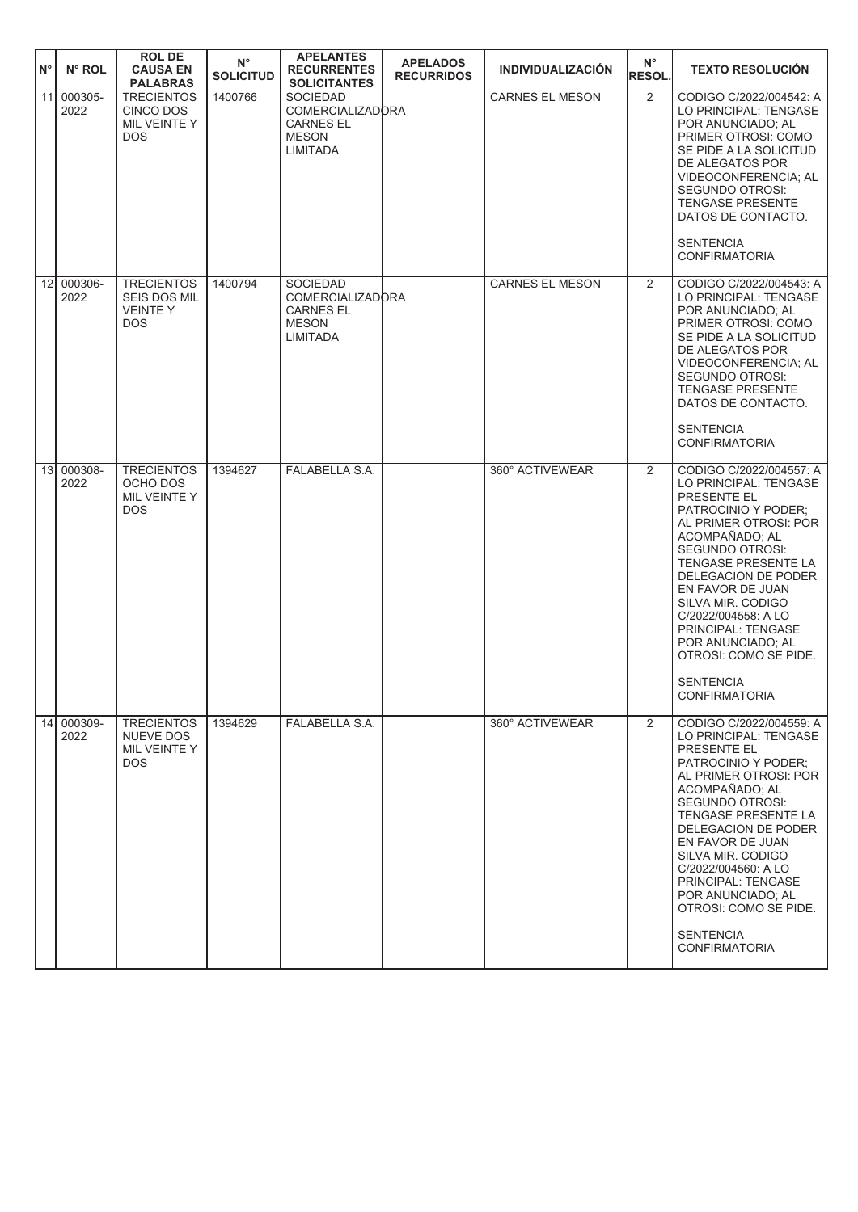| $N^{\circ}$ | N° ROL             | <b>ROL DE</b><br><b>CAUSA EN</b><br><b>PALABRAS</b>               | $N^{\circ}$<br><b>SOLICITUD</b> | <b>APELANTES</b><br><b>RECURRENTES</b><br><b>SOLICITANTES</b>                                     | <b>APELADOS</b><br><b>RECURRIDOS</b> | <b>INDIVIDUALIZACIÓN</b> | $N^{\circ}$<br><b>RESOL.</b> | <b>TEXTO RESOLUCIÓN</b>                                                                                                                                                                                                                                                                                                                                                                          |
|-------------|--------------------|-------------------------------------------------------------------|---------------------------------|---------------------------------------------------------------------------------------------------|--------------------------------------|--------------------------|------------------------------|--------------------------------------------------------------------------------------------------------------------------------------------------------------------------------------------------------------------------------------------------------------------------------------------------------------------------------------------------------------------------------------------------|
| 11          | 000305-<br>2022    | <b>TRECIENTOS</b><br>CINCO DOS<br>MIL VEINTE Y<br><b>DOS</b>      | 1400766                         | <b>SOCIEDAD</b><br><b>COMERCIALIZADORA</b><br><b>CARNES EL</b><br><b>MESON</b><br><b>LIMITADA</b> |                                      | <b>CARNES EL MESON</b>   | $\overline{2}$               | CODIGO C/2022/004542: A<br>LO PRINCIPAL: TENGASE<br>POR ANUNCIADO; AL<br>PRIMER OTROSI: COMO<br>SE PIDE A LA SOLICITUD<br>DE ALEGATOS POR<br>VIDEOCONFERENCIA; AL<br><b>SEGUNDO OTROSI:</b><br><b>TENGASE PRESENTE</b><br>DATOS DE CONTACTO.<br><b>SENTENCIA</b><br><b>CONFIRMATORIA</b>                                                                                                         |
|             | 12 000306-<br>2022 | <b>TRECIENTOS</b><br>SEIS DOS MIL<br><b>VEINTEY</b><br><b>DOS</b> | 1400794                         | <b>SOCIEDAD</b><br><b>COMERCIALIZADORA</b><br><b>CARNES EL</b><br><b>MESON</b><br>LIMITADA        |                                      | <b>CARNES EL MESON</b>   | 2                            | CODIGO C/2022/004543: A<br>LO PRINCIPAL: TENGASE<br>POR ANUNCIADO; AL<br>PRIMER OTROSI: COMO<br>SE PIDE A LA SOLICITUD<br>DE ALEGATOS POR<br>VIDEOCONFERENCIA; AL<br>SEGUNDO OTROSI:<br><b>TENGASE PRESENTE</b><br>DATOS DE CONTACTO.<br><b>SENTENCIA</b><br><b>CONFIRMATORIA</b>                                                                                                                |
|             | 13 000308-<br>2022 | <b>TRECIENTOS</b><br>OCHO DOS<br>MIL VEINTE Y<br><b>DOS</b>       | 1394627                         | FALABELLA S.A.                                                                                    |                                      | 360° ACTIVEWEAR          | 2                            | CODIGO C/2022/004557: A<br>LO PRINCIPAL: TENGASE<br><b>PRESENTE EL</b><br>PATROCINIO Y PODER;<br>AL PRIMER OTROSI: POR<br>ACOMPAÑADO; AL<br><b>SEGUNDO OTROSI:</b><br>TENGASE PRESENTE LA<br>DELEGACION DE PODER<br>EN FAVOR DE JUAN<br>SILVA MIR. CODIGO<br>C/2022/004558: A LO<br>PRINCIPAL: TENGASE<br>POR ANUNCIADO: AL<br>OTROSI: COMO SE PIDE.<br><b>SENTENCIA</b><br>CONFIRMATORIA        |
|             | 14 000309-<br>2022 | <b>TRECIENTOS</b><br>NUEVE DOS<br>MIL VEINTE Y<br><b>DOS</b>      | 1394629                         | FALABELLA S.A.                                                                                    |                                      | 360° ACTIVEWEAR          | $\overline{2}$               | CODIGO C/2022/004559: A<br>LO PRINCIPAL: TENGASE<br><b>PRESENTE EL</b><br>PATROCINIO Y PODER:<br>AL PRIMER OTROSI: POR<br>ACOMPAÑADO; AL<br><b>SEGUNDO OTROSI:</b><br>TENGASE PRESENTE LA<br>DELEGACION DE PODER<br>EN FAVOR DE JUAN<br>SILVA MIR. CODIGO<br>C/2022/004560: A LO<br>PRINCIPAL: TENGASE<br>POR ANUNCIADO; AL<br>OTROSI: COMO SE PIDE.<br><b>SENTENCIA</b><br><b>CONFIRMATORIA</b> |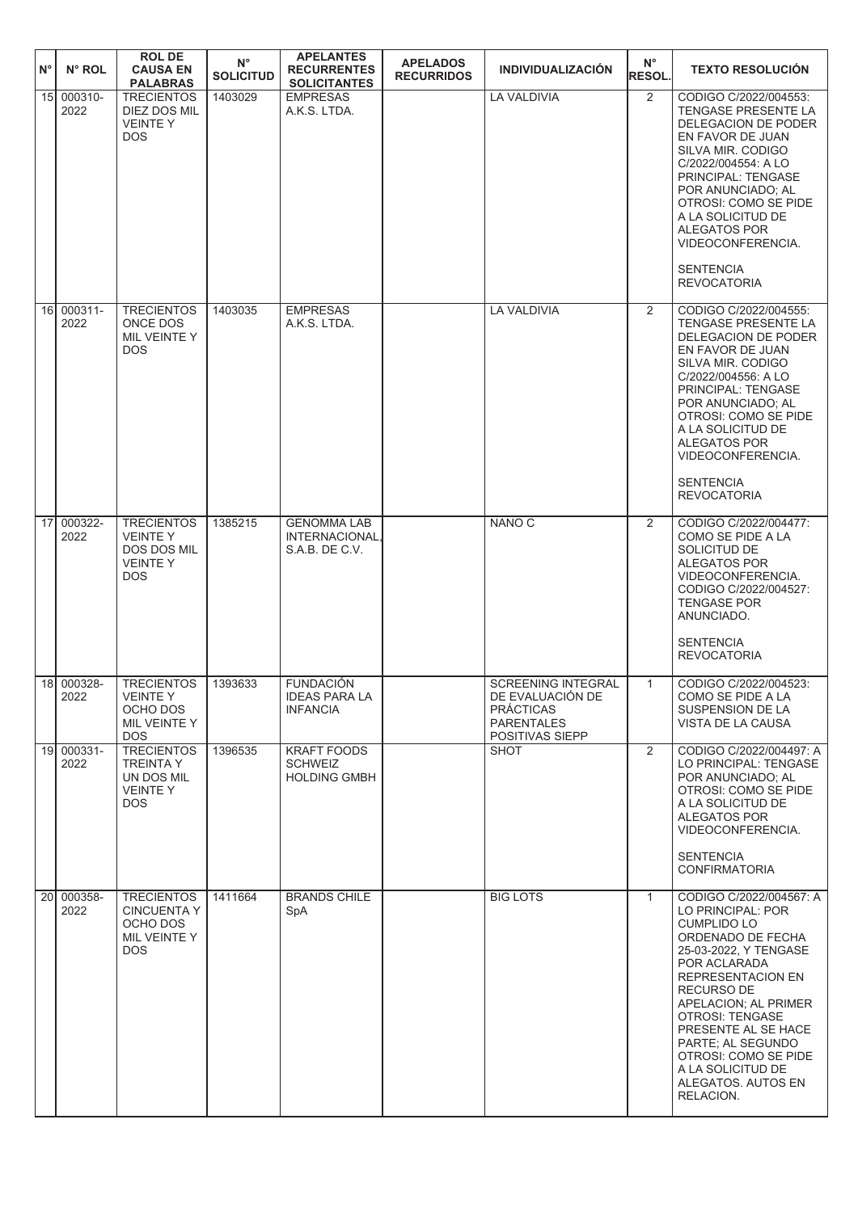| $N^{\circ}$ | N° ROL             | <b>ROLDE</b><br><b>CAUSA EN</b><br><b>PALABRAS</b>                                  | $N^{\circ}$<br><b>SOLICITUD</b> | <b>APELANTES</b><br><b>RECURRENTES</b><br><b>SOLICITANTES</b> | <b>APELADOS</b><br><b>RECURRIDOS</b> | <b>INDIVIDUALIZACIÓN</b>                                                                                  | $N^{\circ}$<br><b>RESOL.</b> | <b>TEXTO RESOLUCIÓN</b>                                                                                                                                                                                                                                                                                                                           |
|-------------|--------------------|-------------------------------------------------------------------------------------|---------------------------------|---------------------------------------------------------------|--------------------------------------|-----------------------------------------------------------------------------------------------------------|------------------------------|---------------------------------------------------------------------------------------------------------------------------------------------------------------------------------------------------------------------------------------------------------------------------------------------------------------------------------------------------|
|             | 15 000310-<br>2022 | <b>TRECIENTOS</b><br>DIEZ DOS MIL<br><b>VEINTEY</b><br><b>DOS</b>                   | 1403029                         | <b>EMPRESAS</b><br>A.K.S. LTDA.                               |                                      | <b>LA VALDIVIA</b>                                                                                        | $\overline{2}$               | CODIGO C/2022/004553:<br>TENGASE PRESENTE LA<br>DELEGACION DE PODER<br>EN FAVOR DE JUAN<br>SILVA MIR. CODIGO<br>C/2022/004554: A LO<br>PRINCIPAL: TENGASE<br>POR ANUNCIADO; AL<br>OTROSI: COMO SE PIDE<br>A LA SOLICITUD DE<br>ALEGATOS POR<br>VIDEOCONFERENCIA.<br><b>SENTENCIA</b><br><b>REVOCATORIA</b>                                        |
|             | 16 000311-<br>2022 | <b>TRECIENTOS</b><br>ONCE DOS<br>MIL VEINTE Y<br><b>DOS</b>                         | 1403035                         | <b>EMPRESAS</b><br>A.K.S. LTDA.                               |                                      | <b>LA VALDIVIA</b>                                                                                        | 2                            | CODIGO C/2022/004555:<br>TENGASE PRESENTE LA<br>DELEGACION DE PODER<br>EN FAVOR DE JUAN<br>SILVA MIR. CODIGO<br>C/2022/004556: A LO<br>PRINCIPAL: TENGASE<br>POR ANUNCIADO: AL<br>OTROSI: COMO SE PIDE<br>A LA SOLICITUD DE<br>ALEGATOS POR<br>VIDEOCONFERENCIA.<br><b>SENTENCIA</b><br><b>REVOCATORIA</b>                                        |
| 17          | 000322-<br>2022    | <b>TRECIENTOS</b><br><b>VEINTEY</b><br>DOS DOS MIL<br><b>VEINTEY</b><br><b>DOS</b>  | 1385215                         | <b>GENOMMA LAB</b><br>INTERNACIONAL,<br>S.A.B. DE C.V.        |                                      | NANO <sub>C</sub>                                                                                         | 2                            | CODIGO C/2022/004477:<br>COMO SE PIDE A LA<br>SOLICITUD DE<br>ALEGATOS POR<br>VIDEOCONFERENCIA.<br>CODIGO C/2022/004527:<br><b>TENGASE POR</b><br>ANUNCIADO.<br><b>SENTENCIA</b><br><b>REVOCATORIA</b>                                                                                                                                            |
|             | 18 000328-<br>2022 | <b>TRECIENTOS</b><br>VEINTE Y<br>OCHO DOS<br>MIL VEINTE Y<br><b>DOS</b>             | 1393633                         | <b>FUNDACIÓN</b><br>IDEAS PARA LA<br><b>INFANCIA</b>          |                                      | <b>SCREENING INTEGRAL</b><br>DE EVALUACION DE<br><b>PRACTICAS</b><br><b>PARENTALES</b><br>POSITIVAS SIEPP | $\mathbf{1}$                 | CODIGO C/2022/004523:<br>COMO SE PIDE A LA<br>SUSPENSION DE LA<br>VISTA DE LA CAUSA                                                                                                                                                                                                                                                               |
|             | 19 000331-<br>2022 | <b>TRECIENTOS</b><br><b>TREINTA Y</b><br>UN DOS MIL<br><b>VEINTEY</b><br><b>DOS</b> | 1396535                         | <b>KRAFT FOODS</b><br><b>SCHWEIZ</b><br><b>HOLDING GMBH</b>   |                                      | <b>SHOT</b>                                                                                               | $\overline{2}$               | CODIGO C/2022/004497: A<br>LO PRINCIPAL: TENGASE<br>POR ANUNCIADO; AL<br>OTROSI: COMO SE PIDE<br>A LA SOLICITUD DE<br>ALEGATOS POR<br>VIDEOCONFERENCIA.<br><b>SENTENCIA</b><br><b>CONFIRMATORIA</b>                                                                                                                                               |
|             | 20 000358-<br>2022 | <b>TRECIENTOS</b><br><b>CINCUENTA Y</b><br>OCHO DOS<br>MIL VEINTE Y<br><b>DOS</b>   | 1411664                         | <b>BRANDS CHILE</b><br>SpA                                    |                                      | <b>BIG LOTS</b>                                                                                           | $\mathbf{1}$                 | CODIGO C/2022/004567: A<br>LO PRINCIPAL: POR<br><b>CUMPLIDO LO</b><br>ORDENADO DE FECHA<br>25-03-2022, Y TENGASE<br>POR ACLARADA<br>REPRESENTACION EN<br><b>RECURSO DE</b><br>APELACION; AL PRIMER<br>OTROSI: TENGASE<br>PRESENTE AL SE HACE<br>PARTE; AL SEGUNDO<br>OTROSI: COMO SE PIDE<br>A LA SOLICITUD DE<br>ALEGATOS. AUTOS EN<br>RELACION. |